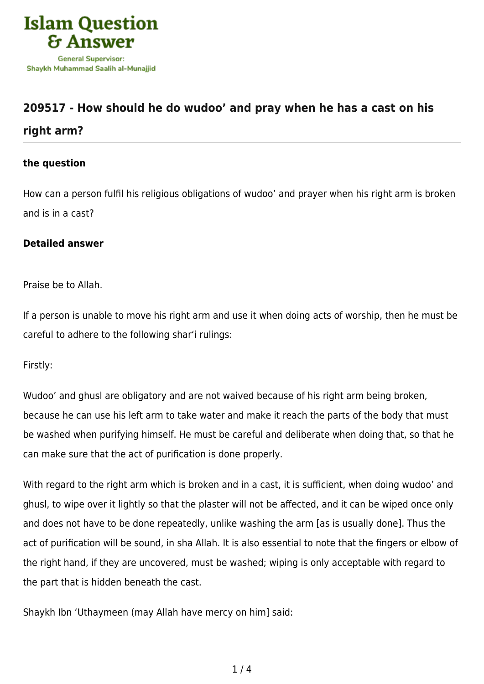

## **[209517 - How should he do wudoo' and pray when he has a cast on his](https://islamqa.com/en/answers/209517/how-should-he-do-wudoo-and-pray-when-he-has-a-cast-on-his-right-arm)**

## **[right arm?](https://islamqa.com/en/answers/209517/how-should-he-do-wudoo-and-pray-when-he-has-a-cast-on-his-right-arm)**

## **the question**

How can a person fulfil his religious obligations of wudoo' and prayer when his right arm is broken and is in a cast?

## **Detailed answer**

Praise be to Allah.

If a person is unable to move his right arm and use it when doing acts of worship, then he must be careful to adhere to the following shar'i rulings:

Firstly:

Wudoo' and ghusl are obligatory and are not waived because of his right arm being broken, because he can use his left arm to take water and make it reach the parts of the body that must be washed when purifying himself. He must be careful and deliberate when doing that, so that he can make sure that the act of purification is done properly.

With regard to the right arm which is broken and in a cast, it is sufficient, when doing wudoo' and ghusl, to wipe over it lightly so that the plaster will not be affected, and it can be wiped once only and does not have to be done repeatedly, unlike washing the arm [as is usually done]. Thus the act of purification will be sound, in sha Allah. It is also essential to note that the fingers or elbow of the right hand, if they are uncovered, must be washed; wiping is only acceptable with regard to the part that is hidden beneath the cast.

Shaykh Ibn 'Uthaymeen (may Allah have mercy on him] said: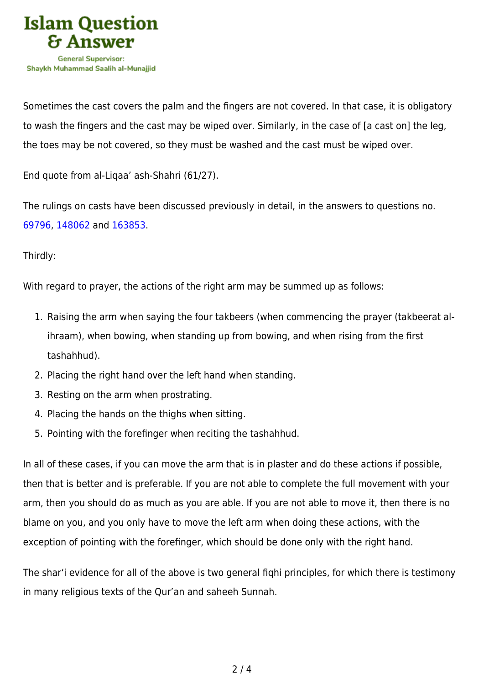

Sometimes the cast covers the palm and the fingers are not covered. In that case, it is obligatory to wash the fingers and the cast may be wiped over. Similarly, in the case of [a cast on] the leg, the toes may be not covered, so they must be washed and the cast must be wiped over.

End quote from al-Liqaa' ash-Shahri (61/27).

The rulings on casts have been discussed previously in detail, in the answers to questions no. [69796,](https://islamqa.com/en/answers/69796) [148062](https://islamqa.com/en/answers/148062) and [163853](https://islamqa.com/en/answers/163853).

Thirdly:

With regard to prayer, the actions of the right arm may be summed up as follows:

- 1. Raising the arm when saying the four takbeers (when commencing the prayer (takbeerat alihraam), when bowing, when standing up from bowing, and when rising from the first tashahhud).
- 2. Placing the right hand over the left hand when standing.
- 3. Resting on the arm when prostrating.
- 4. Placing the hands on the thighs when sitting.
- 5. Pointing with the forefinger when reciting the tashahhud.

In all of these cases, if you can move the arm that is in plaster and do these actions if possible, then that is better and is preferable. If you are not able to complete the full movement with your arm, then you should do as much as you are able. If you are not able to move it, then there is no blame on you, and you only have to move the left arm when doing these actions, with the exception of pointing with the forefinger, which should be done only with the right hand.

The shar'i evidence for all of the above is two general fiqhi principles, for which there is testimony in many religious texts of the Qur'an and saheeh Sunnah.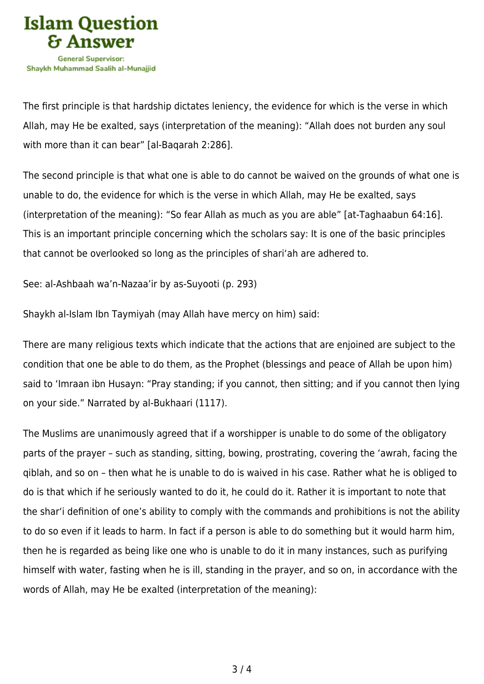

The first principle is that hardship dictates leniency, the evidence for which is the verse in which Allah, may He be exalted, says (interpretation of the meaning): "Allah does not burden any soul with more than it can bear" [al-Baqarah 2:286].

The second principle is that what one is able to do cannot be waived on the grounds of what one is unable to do, the evidence for which is the verse in which Allah, may He be exalted, says (interpretation of the meaning): "So fear Allah as much as you are able" [at-Taghaabun 64:16]. This is an important principle concerning which the scholars say: It is one of the basic principles that cannot be overlooked so long as the principles of shari'ah are adhered to.

See: al-Ashbaah wa'n-Nazaa'ir by as-Suyooti (p. 293)

Shaykh al-Islam Ibn Taymiyah (may Allah have mercy on him) said:

There are many religious texts which indicate that the actions that are enjoined are subject to the condition that one be able to do them, as the Prophet (blessings and peace of Allah be upon him) said to 'Imraan ibn Husayn: "Pray standing; if you cannot, then sitting; and if you cannot then lying on your side." Narrated by al-Bukhaari (1117).

The Muslims are unanimously agreed that if a worshipper is unable to do some of the obligatory parts of the prayer – such as standing, sitting, bowing, prostrating, covering the 'awrah, facing the qiblah, and so on – then what he is unable to do is waived in his case. Rather what he is obliged to do is that which if he seriously wanted to do it, he could do it. Rather it is important to note that the shar'i definition of one's ability to comply with the commands and prohibitions is not the ability to do so even if it leads to harm. In fact if a person is able to do something but it would harm him, then he is regarded as being like one who is unable to do it in many instances, such as purifying himself with water, fasting when he is ill, standing in the prayer, and so on, in accordance with the words of Allah, may He be exalted (interpretation of the meaning):